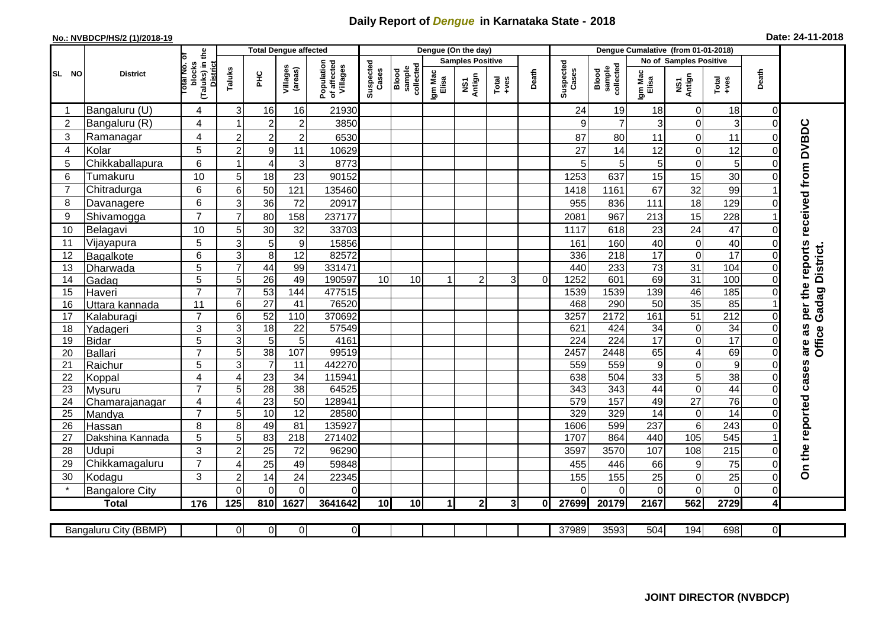## **Daily Report of** *Dengue* **in Karnataka State - 2018**

## **No.: NVBDCP/HS/2 (1)/2018-19 Date: 24-11-2018**

|                | <b>District</b>       |                                                   | <b>Total Dengue affected</b> |                                   |                     |                                       |                    |                                        |                  | Dengue (On the day)     |                |       |                    |                              |                        |                             |                        |                |                              |
|----------------|-----------------------|---------------------------------------------------|------------------------------|-----------------------------------|---------------------|---------------------------------------|--------------------|----------------------------------------|------------------|-------------------------|----------------|-------|--------------------|------------------------------|------------------------|-----------------------------|------------------------|----------------|------------------------------|
|                |                       | ъ                                                 |                              |                                   |                     |                                       |                    |                                        |                  | <b>Samples Positive</b> |                |       |                    |                              | No of Samples Positive |                             |                        |                |                              |
| SL NO          |                       | (Taluks) in the<br>District<br>otal No.<br>blocks | Taluks                       | ΞÉ                                | Villages<br>(areas) | Population<br>of affected<br>Villages | Suspected<br>Cases | sample<br>collected<br>Blood<br>sample | Igm Mac<br>Elisa | NS1<br>Antign           | Total<br>+ves  | Death | Suspected<br>Cases | Blood<br>sample<br>collected | Igm Mac<br>Elisa       | NS1<br>Antign               | Total<br>+ves          | Death          |                              |
|                | Bangaluru (U)         | 4                                                 | 3                            | 16                                | 16                  | 21930                                 |                    |                                        |                  |                         |                |       | 24                 | 19                           | 18                     | $\overline{0}$              | 18                     | 0              |                              |
| $\overline{2}$ | Bangaluru (R)         | 4                                                 |                              | $\overline{2}$                    | $\overline{c}$      | 3850                                  |                    |                                        |                  |                         |                |       | 9                  | $\overline{7}$               | 3                      | $\mathbf 0$                 | 3                      | $\overline{0}$ |                              |
| $\mathbf{3}$   | Ramanagar             | 4                                                 | $\overline{c}$               | $\overline{c}$                    | $\boldsymbol{2}$    | 6530                                  |                    |                                        |                  |                         |                |       | 87                 | 80                           | 11                     | $\mathbf 0$                 | 11                     | 0              | received from DVBDC          |
| 4              | Kolar                 | 5                                                 | $\overline{c}$               | $\boldsymbol{9}$                  | 11                  | 10629                                 |                    |                                        |                  |                         |                |       | 27                 | 14                           | 12                     | $\mathbf 0$                 | 12                     | $\Omega$       |                              |
| 5              | Chikkaballapura       | 6                                                 |                              | 4                                 | 3                   | 8773                                  |                    |                                        |                  |                         |                |       | 5                  | 5 <sup>1</sup>               | 5                      | $\boldsymbol{0}$            | 5                      | 0              |                              |
| 6              | Tumakuru              | 10                                                | 5                            | 18                                | 23                  | 90152                                 |                    |                                        |                  |                         |                |       | 1253               | 637                          | 15                     | 15                          | 30                     | 0              |                              |
| $\overline{7}$ | Chitradurga           | 6                                                 | 6                            | 50                                | 121                 | 135460                                |                    |                                        |                  |                         |                |       | 1418               | 1161                         | 67                     | 32                          | 99                     |                |                              |
| 8              | Davanagere            | 6                                                 | 3                            | 36                                | 72                  | 20917                                 |                    |                                        |                  |                         |                |       | 955                | 836                          | 111                    | 18                          | 129                    | 0              |                              |
| 9              | Shivamogga            | $\overline{7}$                                    | $\overline{7}$               | 80                                | 158                 | 237177                                |                    |                                        |                  |                         |                |       | 2081               | 967                          | 213                    | 15                          | 228                    |                |                              |
| 10             | Belagavi              | 10                                                | 5                            | 30                                | 32                  | 33703                                 |                    |                                        |                  |                         |                |       | 1117               | 618                          | 23                     | 24                          | 47                     | $\Omega$       |                              |
| 11             | Vijayapura            | 5                                                 | 3                            | 5                                 | $\boldsymbol{9}$    | 15856                                 |                    |                                        |                  |                         |                |       | 161                | 160                          | 40                     | $\mathsf{O}\xspace$         | 40                     | $\Omega$       |                              |
| 12             | Bagalkote             | 6                                                 | $\ensuremath{\mathsf{3}}$    | 8                                 | 12                  | 82572                                 |                    |                                        |                  |                         |                |       | 336                | 218                          | $\overline{17}$        | $\pmb{0}$                   | $\overline{17}$        | $\Omega$       | per the reports<br>District. |
| 13             | Dharwada              | 5                                                 | $\overline{7}$               | 44                                | 99                  | 331471                                |                    |                                        |                  |                         |                |       | 440                | 233                          | 73                     | 31                          | 104                    | $\Omega$       |                              |
| 14             | Gadag                 | $\overline{5}$                                    | 5                            | 26                                | 49                  | 190597                                | 10                 | 10                                     | 1                | $\overline{2}$          | 3              | 0     | 1252               | 601                          | 69                     | 31                          | 100                    | $\Omega$       |                              |
| 15             | Haveri                | $\overline{7}$                                    | $\overline{7}$               | 53                                | 144                 | 477515                                |                    |                                        |                  |                         |                |       | 1539               | 1539                         | 139                    | 46                          | 185                    | $\Omega$       | Gadag                        |
| 16             | Uttara kannada        | 11                                                | $6\phantom{1}$               | $\overline{27}$                   | 41                  | 76520                                 |                    |                                        |                  |                         |                |       | 468                | 290                          | 50                     | 35                          | 85                     |                |                              |
| 17             | Kalaburagi            | $\overline{7}$                                    | $\,6$                        | 52                                | 110                 | 370692                                |                    |                                        |                  |                         |                |       | 3257               | 2172                         | 161                    | $\overline{51}$             | $\overline{212}$       | $\Omega$       |                              |
| 18             | Yadageri              | 3                                                 | $\mathsf 3$                  | $\overline{18}$                   | 22                  | 57549                                 |                    |                                        |                  |                         |                |       | 621                | 424                          | 34                     | $\mathbf 0$                 | $\overline{34}$        | $\Omega$       | are as<br>Office             |
| 19             | Bidar                 | 5                                                 | $\mathbf{3}$                 | $\overline{5}$                    | 5                   | 4161                                  |                    |                                        |                  |                         |                |       | 224                | $\overline{224}$             | $\overline{17}$        | $\pmb{0}$                   | 17                     | 0              |                              |
| 20             | Ballari               | $\overline{7}$                                    | 5                            | 38                                | 107                 | 99519                                 |                    |                                        |                  |                         |                |       | 2457               | 2448                         | 65                     | $\overline{4}$              | 69                     | $\Omega$       |                              |
| 21<br>22       | Raichur               | 5                                                 | $\overline{3}$               | $\overline{7}$<br>$\overline{23}$ | 11<br>34            | 442270<br>115941                      |                    |                                        |                  |                         |                |       | 559<br>638         | 559<br>504                   | 9<br>33                | $\pmb{0}$<br>$\overline{5}$ | $\boldsymbol{9}$<br>38 | $\Omega$       |                              |
| 23             | Koppal<br>Mysuru      | 4<br>$\overline{7}$                               | 4<br>$\overline{5}$          | 28                                | $\overline{38}$     | 64525                                 |                    |                                        |                  |                         |                |       | 343                | $\overline{343}$             | 44                     | $\overline{\mathsf{o}}$     | 44                     | 0<br>$\Omega$  |                              |
| 24             | Chamarajanagar        | 4                                                 | $\overline{4}$               | 23                                | $\overline{50}$     | 12894                                 |                    |                                        |                  |                         |                |       | 579                | 157                          | 49                     | $\overline{27}$             | $\overline{76}$        | $\Omega$       |                              |
| 25             | Mandya                | $\overline{7}$                                    | 5                            | 10                                | 12                  | 28580                                 |                    |                                        |                  |                         |                |       | 329                | 329                          | $\overline{14}$        | $\mathbf 0$                 | 14                     | $\Omega$       |                              |
| 26             | Hassan                | 8                                                 | 8                            | 49                                | 81                  | 135927                                |                    |                                        |                  |                         |                |       | 1606               | 599                          | 237                    | $\sigma$                    | 243                    | $\Omega$       |                              |
| 27             | Dakshina Kannada      | 5                                                 | $\overline{5}$               | 83                                | $\overline{218}$    | 271402                                |                    |                                        |                  |                         |                |       | 1707               | 864                          | 440                    | $\frac{105}{2}$             | 545                    |                |                              |
| 28             | Udupi                 | 3                                                 | $\overline{2}$               | $\overline{25}$                   | 72                  | 96290                                 |                    |                                        |                  |                         |                |       | 3597               | 3570                         | 107                    | 108                         | 215                    | $\Omega$       |                              |
| 29             | Chikkamagaluru        | $\overline{7}$                                    | 4                            | 25                                | 49                  | 59848                                 |                    |                                        |                  |                         |                |       | 455                | 446                          | 66                     | $\boldsymbol{9}$            | 75                     | 0              | On the reported cases        |
| 30             | Kodagu                | 3                                                 | $\boldsymbol{2}$             | 14                                | 24                  | 22345                                 |                    |                                        |                  |                         |                |       | 155                | 155                          | 25                     | $\pmb{0}$                   | 25                     | $\Omega$       |                              |
| $\star$        | <b>Bangalore City</b> |                                                   | $\Omega$                     | $\overline{0}$                    | $\overline{0}$      | $\Omega$                              |                    |                                        |                  |                         |                |       | $\Omega$           | $\Omega$                     | $\Omega$               | $\overline{0}$              | $\overline{0}$         | $\mathbf 0$    |                              |
|                | <b>Total</b>          | 176                                               | 125                          | 810                               | 1627                | 3641642                               | 10 <sup>1</sup>    | 10                                     | 1                | $\mathbf{2}$            | 3 <sup>l</sup> | 0     | 27699              | 20179                        | 2167                   | 562                         | 2729                   | 4              |                              |
|                |                       |                                                   |                              |                                   |                     |                                       |                    |                                        |                  |                         |                |       |                    |                              |                        |                             |                        |                |                              |
|                | Bangaluru City (BBMP) |                                                   | $\Omega$                     | $\overline{0}$                    | $\overline{0}$      | $\overline{0}$                        |                    |                                        |                  |                         |                |       | 37989              | 3593                         | 504                    | 194                         | 698                    | ΟI             |                              |